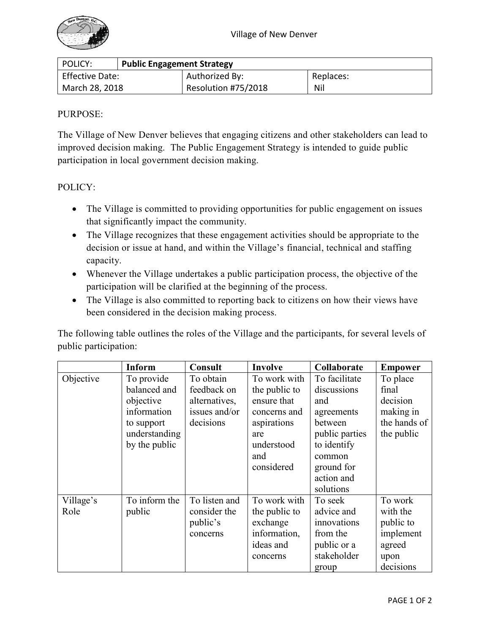

| POLICY:                | <b>Public Engagement Strategy</b> |                     |           |  |  |  |
|------------------------|-----------------------------------|---------------------|-----------|--|--|--|
| <b>Effective Date:</b> |                                   | Authorized By:      | Replaces: |  |  |  |
| March 28, 2018         |                                   | Resolution #75/2018 | Nil       |  |  |  |

## PURPOSE:

The Village of New Denver believes that engaging citizens and other stakeholders can lead to improved decision making. The Public Engagement Strategy is intended to guide public participation in local government decision making.

## POLICY:

- The Village is committed to providing opportunities for public engagement on issues that significantly impact the community.
- The Village recognizes that these engagement activities should be appropriate to the decision or issue at hand, and within the Village's financial, technical and staffing capacity.
- Whenever the Village undertakes a public participation process, the objective of the participation will be clarified at the beginning of the process.
- The Village is also committed to reporting back to citizens on how their views have been considered in the decision making process.

The following table outlines the roles of the Village and the participants, for several levels of public participation:

|           | <b>Inform</b> | <b>Consult</b> | Involve       | Collaborate    | <b>Empower</b> |
|-----------|---------------|----------------|---------------|----------------|----------------|
| Objective | To provide    | To obtain      | To work with  | To facilitate  | To place       |
|           | balanced and  | feedback on    | the public to | discussions    | final          |
|           | objective     | alternatives,  | ensure that   | and            | decision       |
|           | information   | issues and/or  | concerns and  | agreements     | making in      |
|           | to support    | decisions      | aspirations   | between        | the hands of   |
|           | understanding |                | are           | public parties | the public     |
|           | by the public |                | understood    | to identify    |                |
|           |               |                | and           | common         |                |
|           |               |                | considered    | ground for     |                |
|           |               |                |               | action and     |                |
|           |               |                |               | solutions      |                |
| Village's | To inform the | To listen and  | To work with  | To seek        | To work        |
| Role      | public        | consider the   | the public to | advice and     | with the       |
|           |               | public's       | exchange      | innovations    | public to      |
|           |               | concerns       | information,  | from the       | implement      |
|           |               |                | ideas and     | public or a    | agreed         |
|           |               |                | concerns      | stakeholder    | upon           |
|           |               |                |               | group          | decisions      |